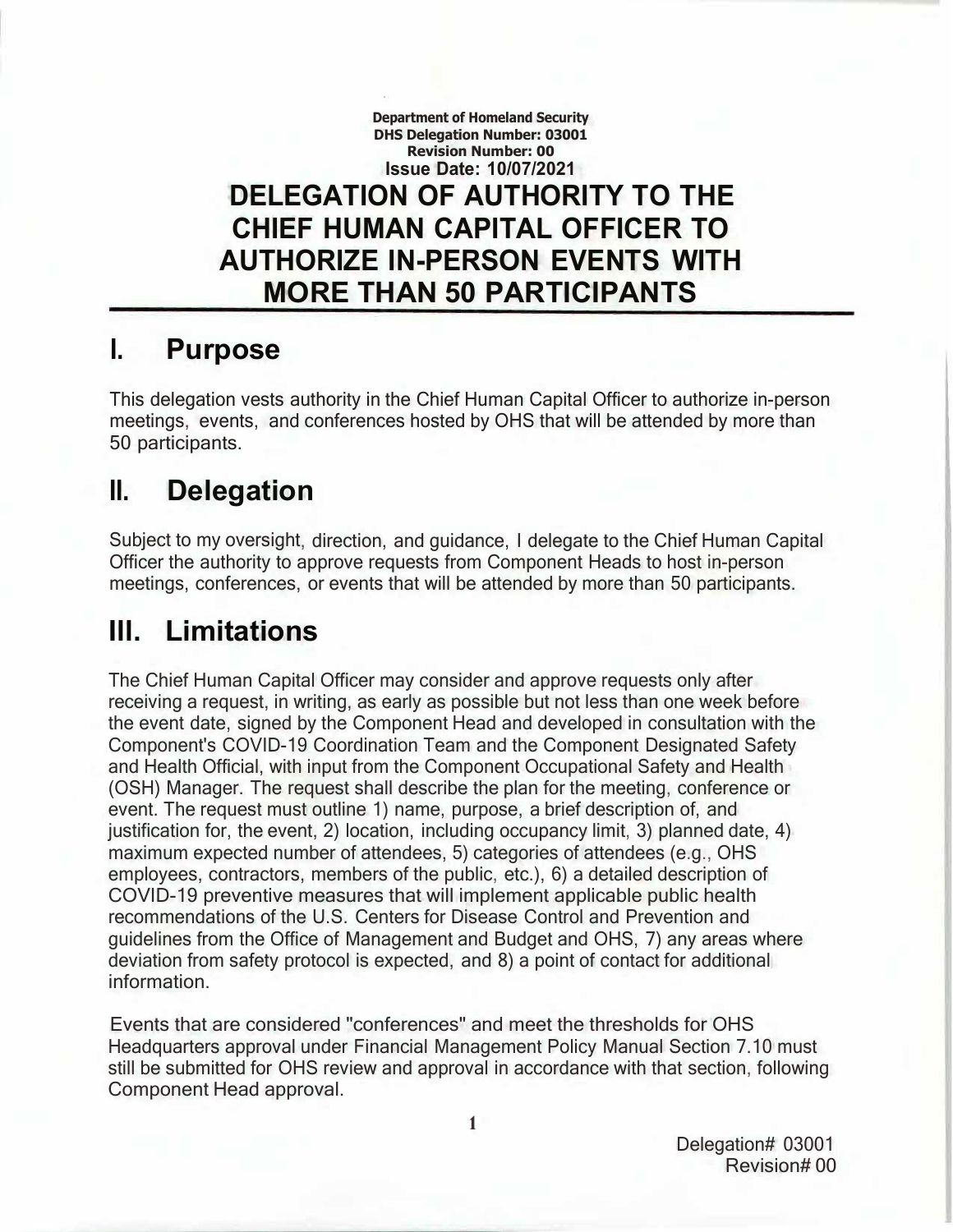**Department of Homeland Security DHS Delegation Number: 03001 Revision Number: 00 Issue Date: 10/07/2021 DELEGATION OF AUTHORITY TO THE CHIEF HUMAN CAPITAL OFFICER TO AUTHORIZE IN-PERSON EVENTS WITH MORE THAN 50 PARTICIPANTS**

#### **I. Purpose**

This delegation vests authority in the Chief Human Capital Officer to authorize in-person meetings, events, and conferences hosted by OHS that will be attended by more than 50 participants.

#### **II. Delegation**

Subject to my oversight, direction, and guidance, I delegate to the Chief Human Capital Officer the authority to approve requests from Component Heads to host in-person meetings, conferences, or events that will be attended by more than 50 participants.

#### **Ill. Limitations**

The Chief Human Capital Officer may consider and approve requests only after receiving a request, in writing, as early as possible but not less than one week before the event date, signed by the Component Head and developed in consultation with the Component's COVID-19 Coordination Team and the Component Designated Safety and Health Official, with input from the Component Occupational Safety and Health (OSH) Manager. The request shall describe the plan for the meeting, conference or event. The request must outline 1) name, purpose, a brief description of, and justification for, the event, 2) location, including occupancy limit, 3) planned date, 4) maximum expected number of attendees, 5) categories of attendees (e.g., OHS employees, contractors, members of the public, etc.), 6) a detailed description of COVID-19 preventive measures that will implement applicable public health recommendations of the U.S. Centers for Disease Control and Prevention and guidelines from the Office of Management and Budget and OHS, 7) any areas where deviation from safety protocol is expected, and 8) a point of contact for additional information.

Events that are considered "conferences" and meet the thresholds for OHS Headquarters approval under Financial Management Policy Manual Section 7.10 must still be submitted for OHS review and approval in accordance with that section, following Component Head approval.

> Delegation# 03001 Revision# 00